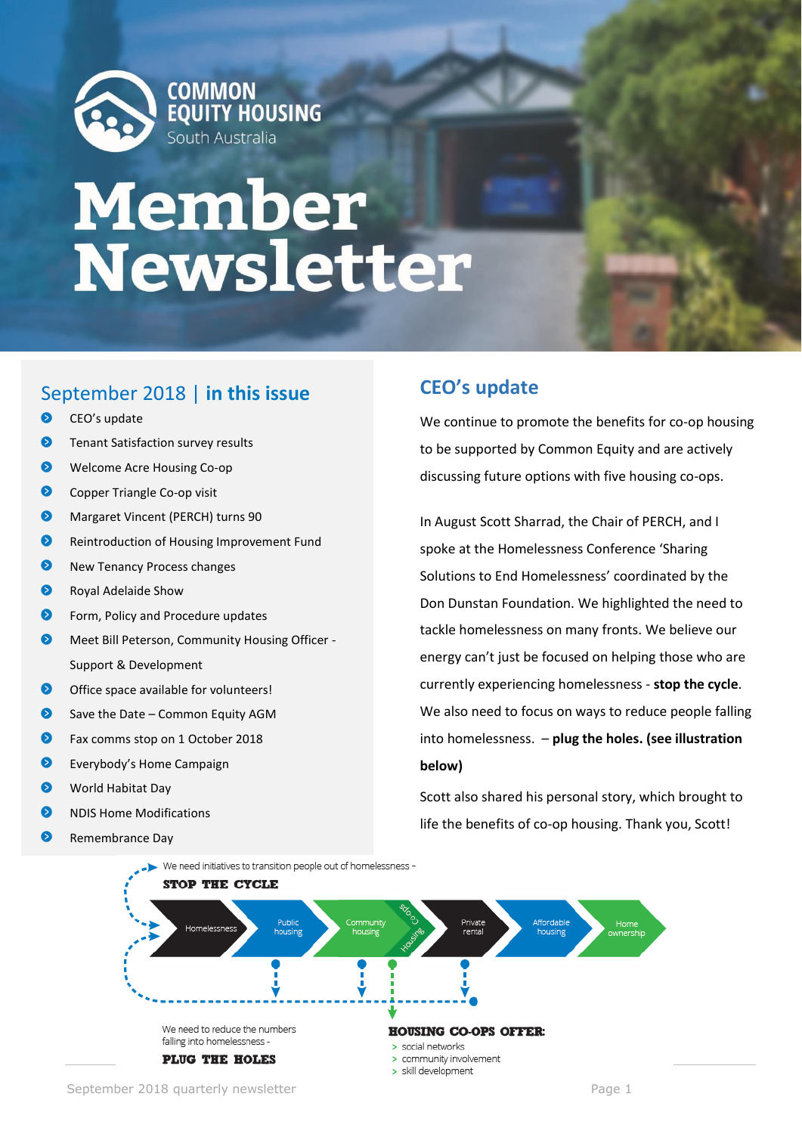

# **Member<br>Newsletter**

### September 2018 | **in this issue**

- $\bullet$ CEO's update
- Ω Tenant Satisfaction survey results
- $\bullet$ Welcome Acre Housing Co-op
- $\bullet$ Copper Triangle Co-op visit
- $\bullet$ Margaret Vincent (PERCH) turns 90
- $\bullet$ Reintroduction of Housing Improvement Fund
- $\bullet$ New Tenancy Process changes
- ◙ Royal Adelaide Show
- $\bullet$ Form, Policy and Procedure updates
- െ Meet Bill Peterson, Community Housing Officer - Support & Development
- $\bullet$ Office space available for volunteers!
- $\bullet$ Save the Date – Common Equity AGM
- ๑ Fax comms stop on 1 October 2018
- Everybody's Home Campaign
- $\bullet$ World Habitat Day
- NDIS Home Modifications
- 6 Remembrance Day

## **CEO's update**

We continue to promote the benefits for co-op housing to be supported by Common Equity and are actively discussing future options with five housing co-ops.

In August Scott Sharrad, the Chair of PERCH, and I spoke at the Homelessness Conference 'Sharing Solutions to End Homelessness' coordinated by the Don Dunstan Foundation. We highlighted the need to tackle homelessness on many fronts. We believe our energy can't just be focused on helping those who are currently experiencing homelessness - **stop the cycle**. We also need to focus on ways to reduce people falling into homelessness. – **plug the holes. (see illustration below)**

Scott also shared his personal story, which brought to life the benefits of co-op housing. Thank you, Scott!

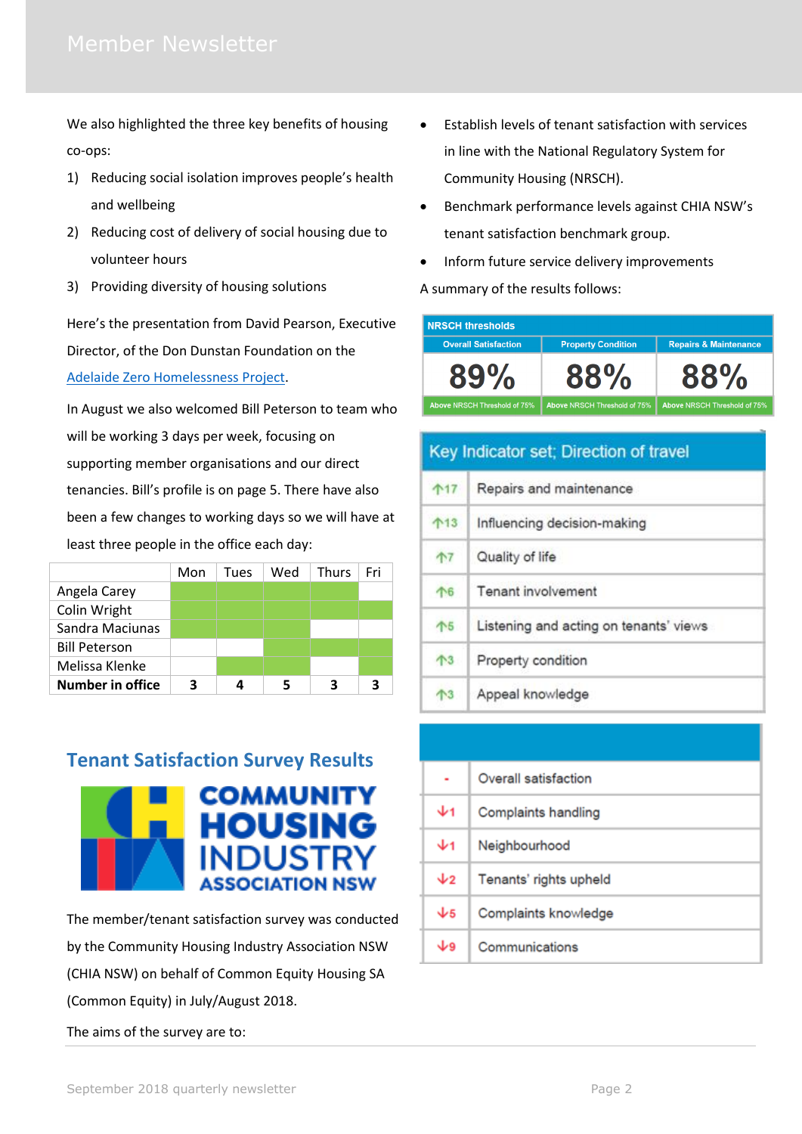We also highlighted the three key benefits of housing co-ops:

- 1) Reducing social isolation improves people's health and wellbeing
- 2) Reducing cost of delivery of social housing due to volunteer hours
- 3) Providing diversity of housing solutions

Here's the presentation from David Pearson, Executive Director, of the Don Dunstan Foundation on the [Adelaide Zero Homelessness Project.](https://www.dunstan.org.au/docs/HC_2018_Presentation_David_Pearson_Zero_Project.pdf)

In August we also welcomed Bill Peterson to team who will be working 3 days per week, focusing on supporting member organisations and our direct tenancies. Bill's profile is on page 5. There have also been a few changes to working days so we will have at least three people in the office each day:

|                         | Mon | Tues | Wed | Thurs | Fri |
|-------------------------|-----|------|-----|-------|-----|
| Angela Carey            |     |      |     |       |     |
| Colin Wright            |     |      |     |       |     |
| Sandra Maciunas         |     |      |     |       |     |
| <b>Bill Peterson</b>    |     |      |     |       |     |
| Melissa Klenke          |     |      |     |       |     |
| <b>Number in office</b> | з   |      |     | з     |     |

### **Tenant Satisfaction Survey Results**



The member/tenant satisfaction survey was conducted by the Community Housing Industry Association NSW (CHIA NSW) on behalf of Common Equity Housing SA (Common Equity) in July/August 2018.

The aims of the survey are to:

- Establish levels of tenant satisfaction with services in line with the National Regulatory System for Community Housing (NRSCH).
- Benchmark performance levels against CHIA NSW's tenant satisfaction benchmark group.
- Inform future service delivery improvements A summary of the results follows:

| <b>NRSCH thresholds</b>      |                              |                                  |
|------------------------------|------------------------------|----------------------------------|
| <b>Overall Satisfaction</b>  | <b>Property Condition</b>    | <b>Repairs &amp; Maintenance</b> |
| $89\%$                       | $88\%$                       | 88%                              |
| Above NRSCH Threshold of 75% | Above NRSCH Threshold of 75% | Above NRSCH Threshold of 75%     |

| Key Indicator set; Direction of travel |                                        |
|----------------------------------------|----------------------------------------|
| 个17                                    | Repairs and maintenance                |
| $^{13}$                                | Influencing decision-making            |
| 个7                                     | Quality of life                        |
| 个6                                     | Tenant involvement                     |
| 个5                                     | Listening and acting on tenants' views |
| $\mathcal{T}^3$                        | Property condition                     |
| $\mathbf{T}^3$                         | Appeal knowledge                       |

|                   | Overall satisfaction   |
|-------------------|------------------------|
| $\mathbf{\Psi}$ 1 | Complaints handling    |
| Ψ1                | Neighbourhood          |
| $\downarrow$      | Tenants' rights upheld |
| $\sqrt{5}$        | Complaints knowledge   |
| ويل               | Communications         |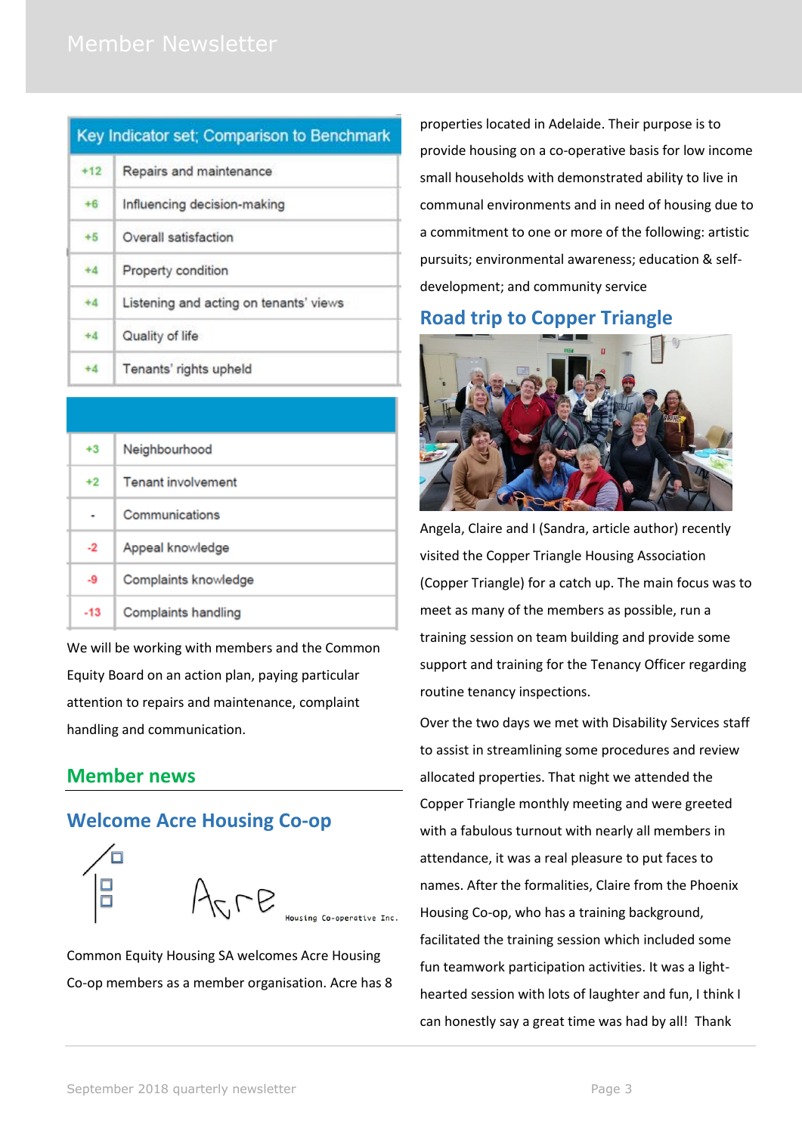| Key Indicator set; Comparison to Benchmark |                                        |
|--------------------------------------------|----------------------------------------|
| $+12$                                      | Repairs and maintenance                |
| $+6$                                       | Influencing decision-making            |
| $+5$                                       | Overall satisfaction                   |
| $+4$                                       | Property condition                     |
| $+4$                                       | Listening and acting on tenants' views |
| $+4$                                       | Quality of life                        |
| $+4$                                       | Tenants' rights upheld                 |

| $+3$  | Neighbourhood             |
|-------|---------------------------|
| $+2$  | <b>Tenant involvement</b> |
|       | Communications            |
| $-2$  | Appeal knowledge          |
| -9    | Complaints knowledge      |
| $-13$ | Complaints handling       |

We will be working with members and the Common Equity Board on an action plan, paying particular attention to repairs and maintenance, complaint handling and communication.

### **Member news**

#### **Welcome Acre Housing Co-op**



Common Equity Housing SA welcomes Acre Housing Co-op members as a member organisation. Acre has 8 properties located in Adelaide. Their purpose is to provide housing on a co-operative basis for low income small households with demonstrated ability to live in communal environments and in need of housing due to a commitment to one or more of the following: artistic pursuits; environmental awareness; education & selfdevelopment; and community service

# **Road trip to Copper Triangle**



Angela, Claire and I (Sandra, article author) recently visited the Copper Triangle Housing Association (Copper Triangle) for a catch up. The main focus was to meet as many of the members as possible, run a training session on team building and provide some support and training for the Tenancy Officer regarding routine tenancy inspections.

Over the two days we met with Disability Services staff to assist in streamlining some procedures and review allocated properties. That night we attended the Copper Triangle monthly meeting and were greeted with a fabulous turnout with nearly all members in attendance, it was a real pleasure to put faces to names. After the formalities, Claire from the Phoenix Housing Co-op, who has a training background, facilitated the training session which included some fun teamwork participation activities. It was a lighthearted session with lots of laughter and fun, I think I can honestly say a great time was had by all! Thank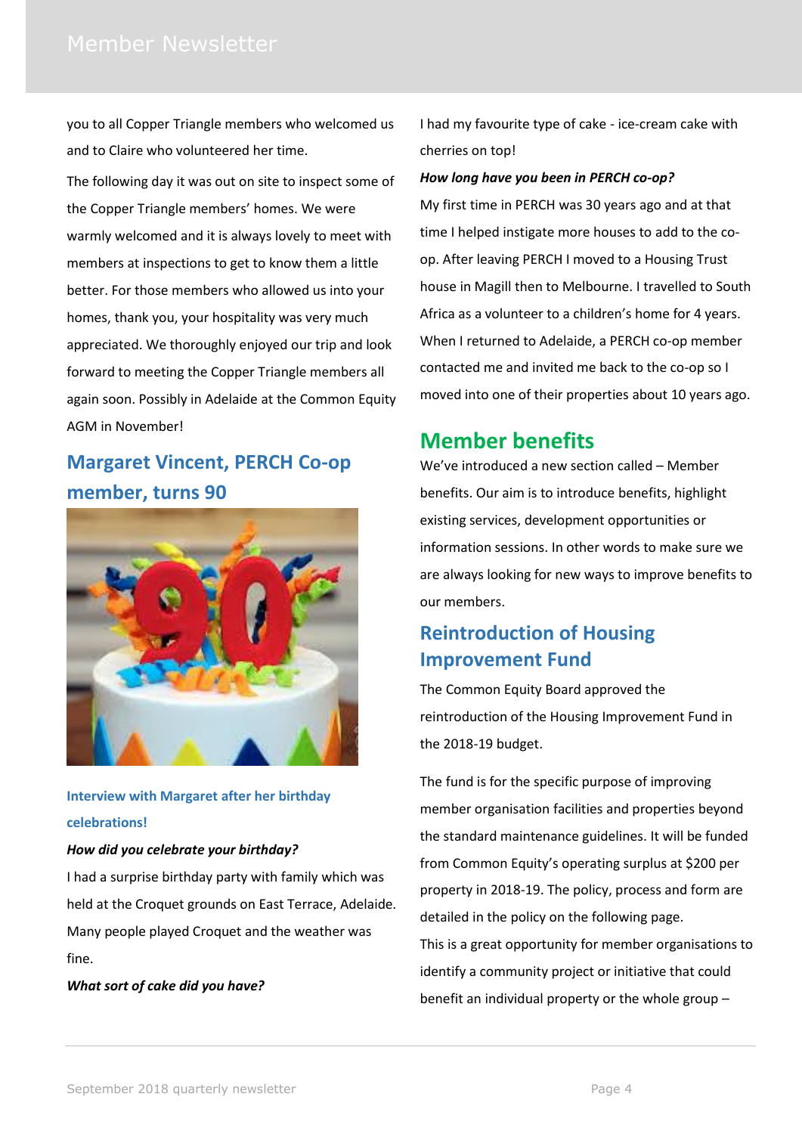you to all Copper Triangle members who welcomed us and to Claire who volunteered her time.

The following day it was out on site to inspect some of the Copper Triangle members' homes. We were warmly welcomed and it is always lovely to meet with members at inspections to get to know them a little better. For those members who allowed us into your homes, thank you, your hospitality was very much appreciated. We thoroughly enjoyed our trip and look forward to meeting the Copper Triangle members all again soon. Possibly in Adelaide at the Common Equity AGM in November!

# **Margaret Vincent, PERCH Co-op member, turns 90**



#### **Interview with Margaret after her birthday celebrations!**

#### *How did you celebrate your birthday?*

I had a surprise birthday party with family which was held at the Croquet grounds on East Terrace, Adelaide. Many people played Croquet and the weather was fine.

*What sort of cake did you have?*

I had my favourite type of cake - ice-cream cake with cherries on top!

#### *How long have you been in PERCH co-op?*

My first time in PERCH was 30 years ago and at that time I helped instigate more houses to add to the coop. After leaving PERCH I moved to a Housing Trust house in Magill then to Melbourne. I travelled to South Africa as a volunteer to a children's home for 4 years. When I returned to Adelaide, a PERCH co-op member contacted me and invited me back to the co-op so I moved into one of their properties about 10 years ago.

### **Member benefits**

We've introduced a new section called – Member benefits. Our aim is to introduce benefits, highlight existing services, development opportunities or information sessions. In other words to make sure we are always looking for new ways to improve benefits to our members.

## **Reintroduction of Housing Improvement Fund**

The Common Equity Board approved the reintroduction of the Housing Improvement Fund in the 2018-19 budget.

The fund is for the specific purpose of improving member organisation facilities and properties beyond the standard maintenance guidelines. It will be funded from Common Equity's operating surplus at \$200 per property in 2018-19. The policy, process and form are detailed in the policy on the following page. This is a great opportunity for member organisations to identify a community project or initiative that could benefit an individual property or the whole group –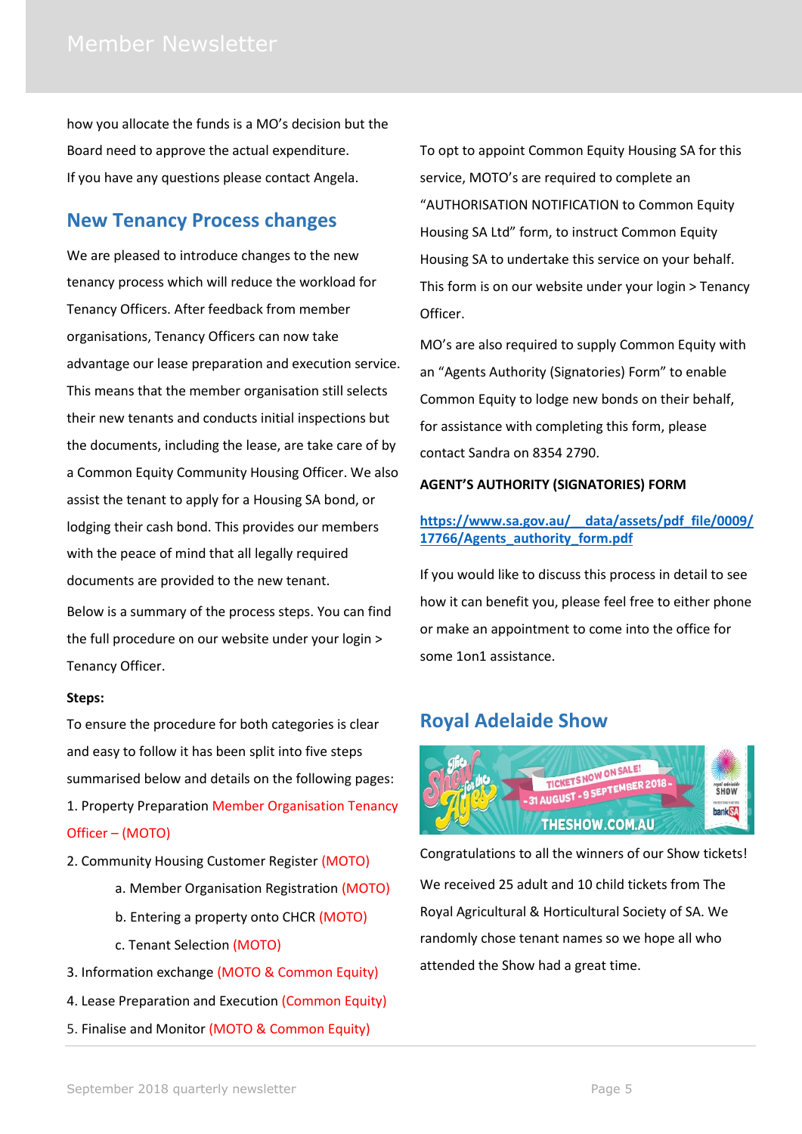how you allocate the funds is a MO's decision but the Board need to approve the actual expenditure. If you have any questions please contact Angela.

#### **New Tenancy Process changes**

We are pleased to introduce changes to the new tenancy process which will reduce the workload for Tenancy Officers. After feedback from member organisations, Tenancy Officers can now take advantage our lease preparation and execution service. This means that the member organisation still selects their new tenants and conducts initial inspections but the documents, including the lease, are take care of by a Common Equity Community Housing Officer. We also assist the tenant to apply for a Housing SA bond, or lodging their cash bond. This provides our members with the peace of mind that all legally required documents are provided to the new tenant.

Below is a summary of the process steps. You can find the full procedure on our website under your login > Tenancy Officer.

#### **Steps:**

To ensure the procedure for both categories is clear and easy to follow it has been split into five steps summarised below and details on the following pages: 1. Property Preparation Member Organisation Tenancy Officer – (MOTO)

- 2. Community Housing Customer Register (MOTO)
	- a. Member Organisation Registration (MOTO)
	- b. Entering a property onto CHCR (MOTO)
	- c. Tenant Selection (MOTO)
- 3. Information exchange (MOTO & Common Equity)
- 4. Lease Preparation and Execution (Common Equity)
- 5. Finalise and Monitor (MOTO & Common Equity)

To opt to appoint Common Equity Housing SA for this service, MOTO's are required to complete an "AUTHORISATION NOTIFICATION to Common Equity Housing SA Ltd" form, to instruct Common Equity Housing SA to undertake this service on your behalf. This form is on our website under your login > Tenancy Officer.

MO's are also required to supply Common Equity with an "Agents Authority (Signatories) Form" to enable Common Equity to lodge new bonds on their behalf, for assistance with completing this form, please contact Sandra on 8354 2790.

#### **AGENT'S AUTHORITY (SIGNATORIES) FORM**

#### **[https://www.sa.gov.au/\\_\\_data/assets/pdf\\_file/0009/](https://www.sa.gov.au/__data/assets/pdf_file/0009/17766/Agents_authority_form.pdf) [17766/Agents\\_authority\\_form.pdf](https://www.sa.gov.au/__data/assets/pdf_file/0009/17766/Agents_authority_form.pdf)**

If you would like to discuss this process in detail to see how it can benefit you, please feel free to either phone or make an appointment to come into the office for some 1on1 assistance.

### **Royal Adelaide Show**



Congratulations to all the winners of our Show tickets! We received 25 adult and 10 child tickets from The Royal Agricultural & Horticultural Society of SA. We randomly chose tenant names so we hope all who attended the Show had a great time.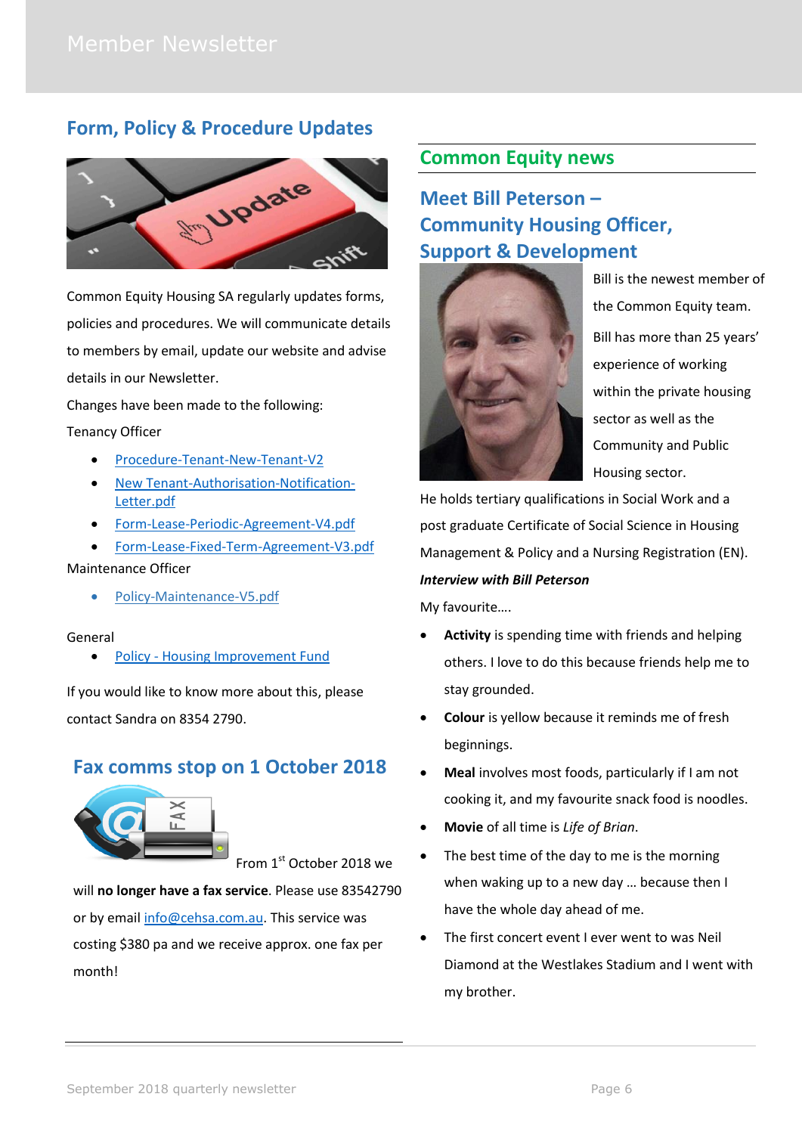#### **Form, Policy & Procedure Updates**



Common Equity Housing SA regularly updates forms, policies and procedures. We will communicate details to members by email, update our website and advise details in our Newsletter.

Changes have been made to the following: Tenancy Officer

- [Procedure-Tenant-New-Tenant-V2](http://www.cehsa.com.au/wp-content/uploads/2018/06/Procedure-Tenant-New-Tenant-V2sm.pdf)
- [New Tenant-Authorisation-Notification-](http://www.cehsa.com.au/wp-content/uploads/2018/07/MOTO-Authorisation-Notification-Letter.pdf)[Letter.pdf](http://www.cehsa.com.au/wp-content/uploads/2018/07/MOTO-Authorisation-Notification-Letter.pdf)
- [Form-Lease-Periodic-Agreement-V4.pdf](http://www.cehsa.com.au/wp-content/uploads/2018/07/Form-Lease-Periodic-Agreement-V4.pdf)
- [Form-Lease-Fixed-Term-Agreement-V3.pdf](http://www.cehsa.com.au/wp-content/uploads/2018/07/Form-Lease-Fixed-Term-Agreement-June-2018-V3.pdf)

#### Maintenance Officer

[Policy-Maintenance-V5.pdf](http://www.cehsa.com.au/wp-content/uploads/2018/07/Policy-Maintenance-V5.pdf)

#### General

• Policy - [Housing Improvement Fund](file://///server/company/Governance/AA%20Policies%20&%20Forms%20final/Member%20organisation%20management/CEHSA/Policy%20-%20Housing%20Improvement%20Fund.pdf)

If you would like to know more about this, please contact Sandra on 8354 2790.

#### **Fax comms stop on 1 October 2018**



From 1st October 2018 we

will **no longer have a fax service**. Please use 83542790 or by email [info@cehsa.com.au.](mailto:info@cehsa.com.au) This service was costing \$380 pa and we receive approx. one fax per month!

#### **Common Equity news**

# **Meet Bill Peterson – Community Housing Officer, Support & Development**



Bill is the newest member of the Common Equity team. Bill has more than 25 years' experience of working within the private housing sector as well as the Community and Public Housing sector.

He holds tertiary qualifications in Social Work and a post graduate Certificate of Social Science in Housing Management & Policy and a Nursing Registration (EN). *Interview with Bill Peterson*

My favourite….

- **Activity** is spending time with friends and helping others. I love to do this because friends help me to stay grounded.
- **Colour** is yellow because it reminds me of fresh beginnings.
- **Meal** involves most foods, particularly if I am not cooking it, and my favourite snack food is noodles.
- **Movie** of all time is *Life of Brian*.
- The best time of the day to me is the morning when waking up to a new day … because then I have the whole day ahead of me.
- The first concert event I ever went to was Neil Diamond at the Westlakes Stadium and I went with my brother.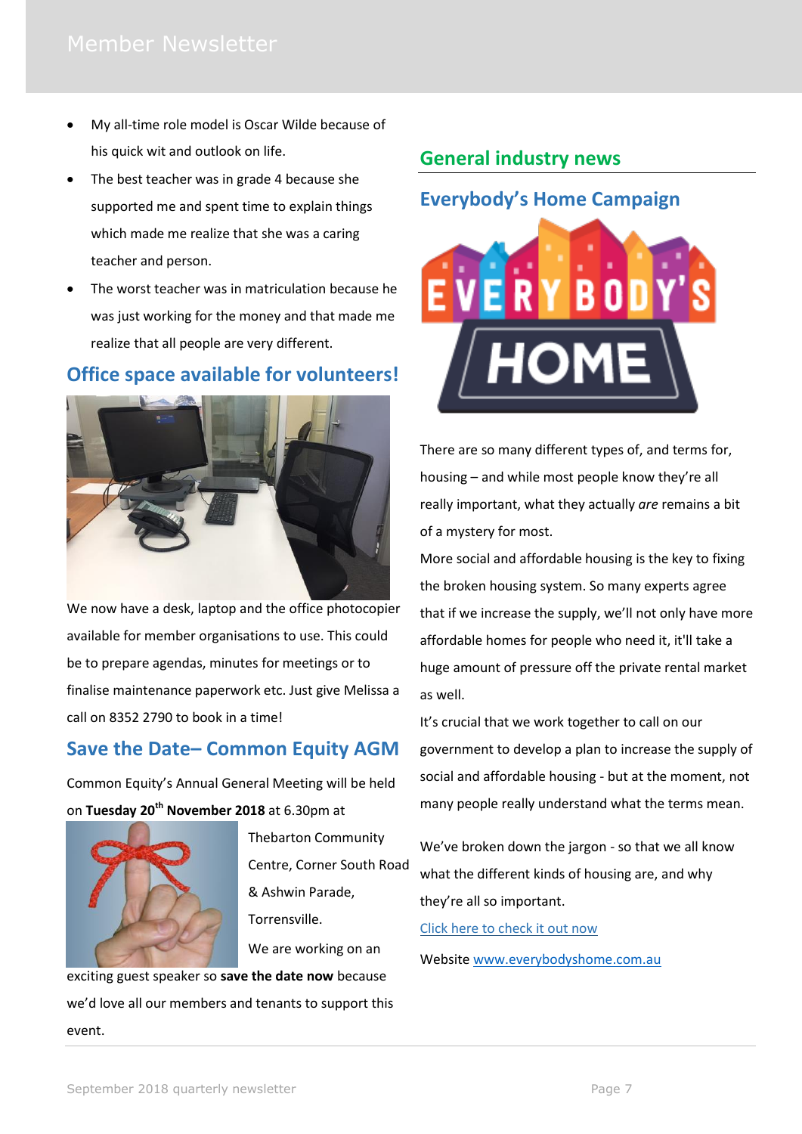- My all-time role model is Oscar Wilde because of his quick wit and outlook on life.
- The best teacher was in grade 4 because she supported me and spent time to explain things which made me realize that she was a caring teacher and person.
- The worst teacher was in matriculation because he was just working for the money and that made me realize that all people are very different.

#### **Office space available for volunteers!**



We now have a desk, laptop and the office photocopier available for member organisations to use. This could be to prepare agendas, minutes for meetings or to finalise maintenance paperwork etc. Just give Melissa a call on 8352 2790 to book in a time!

### **Save the Date– Common Equity AGM**

Common Equity's Annual General Meeting will be held on **Tuesday 20th November 2018** at 6.30pm at



Thebarton Community Centre, Corner South Road & Ashwin Parade, Torrensville. We are working on an

exciting guest speaker so **save the date now** because we'd love all our members and tenants to support this event.

# **General industry news**

# **Everybody's Home Campaign**



There are so many different types of, and terms for, housing – and while most people know they're all really important, what they actually *are* remains a bit of a mystery for most.

More social and affordable housing is the key to fixing the broken housing system. So many experts agree that if we increase the supply, we'll not only have more affordable homes for people who need it, it'll take a huge amount of pressure off the private rental market as well.

It's crucial that we work together to call on our government to develop a plan to increase the supply of social and affordable housing - but at the moment, not many people really understand what the terms mean.

We've broken down the jargon - so that we all know what the different kinds of housing are, and why they're all so important.

[Click here to check it out now](http://everybodyshome.com.au/housing-infographic/)

Website [www.everybodyshome.com.au](http://www.everybodyshome.com.au/)